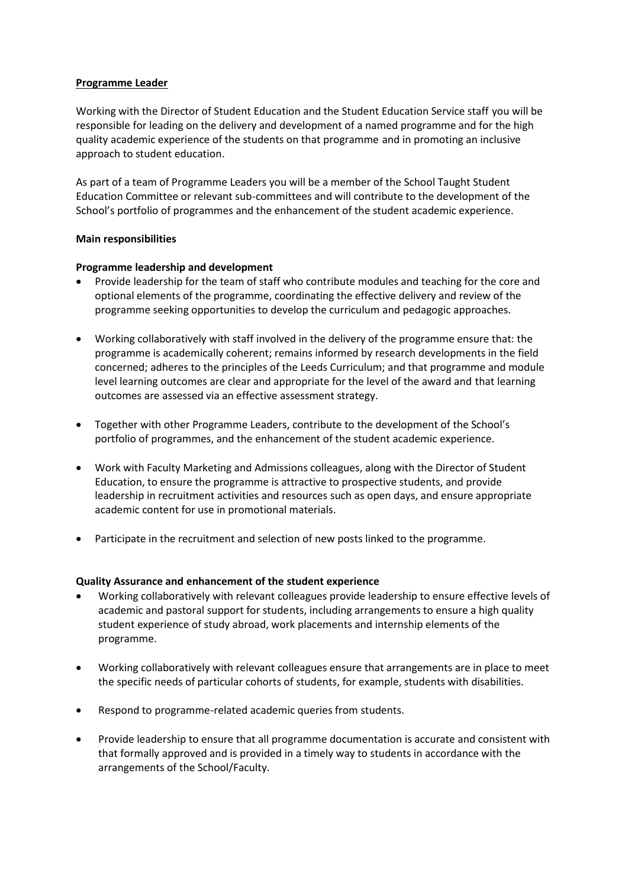## **Programme Leader**

Working with the Director of Student Education and the Student Education Service staff you will be responsible for leading on the delivery and development of a named programme and for the high quality academic experience of the students on that programme and in promoting an inclusive approach to student education.

As part of a team of Programme Leaders you will be a member of the School Taught Student Education Committee or relevant sub-committees and will contribute to the development of the School's portfolio of programmes and the enhancement of the student academic experience.

# **Main responsibilities**

# **Programme leadership and development**

- Provide leadership for the team of staff who contribute modules and teaching for the core and optional elements of the programme, coordinating the effective delivery and review of the programme seeking opportunities to develop the curriculum and pedagogic approaches.
- Working collaboratively with staff involved in the delivery of the programme ensure that: the programme is academically coherent; remains informed by research developments in the field concerned; adheres to the principles of the Leeds Curriculum; and that programme and module level learning outcomes are clear and appropriate for the level of the award and that learning outcomes are assessed via an effective assessment strategy.
- Together with other Programme Leaders, contribute to the development of the School's portfolio of programmes, and the enhancement of the student academic experience.
- Work with Faculty Marketing and Admissions colleagues, along with the Director of Student Education, to ensure the programme is attractive to prospective students, and provide leadership in recruitment activities and resources such as open days, and ensure appropriate academic content for use in promotional materials.
- Participate in the recruitment and selection of new posts linked to the programme.

### **Quality Assurance and enhancement of the student experience**

- Working collaboratively with relevant colleagues provide leadership to ensure effective levels of academic and pastoral support for students, including arrangements to ensure a high quality student experience of study abroad, work placements and internship elements of the programme.
- Working collaboratively with relevant colleagues ensure that arrangements are in place to meet the specific needs of particular cohorts of students, for example, students with disabilities.
- Respond to programme-related academic queries from students.
- Provide leadership to ensure that all programme documentation is accurate and consistent with that formally approved and is provided in a timely way to students in accordance with the arrangements of the School/Faculty.